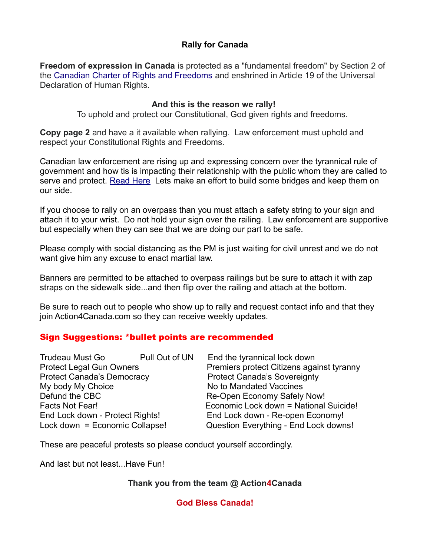### **Rally for Canada**

**Freedom of expression in Canada** is protected as a "fundamental freedom" by Section 2 of the [Canadian Charter of Rights and Freedoms](https://en.wikipedia.org/wiki/Canadian_Charter_of_Rights_and_Freedoms) and enshrined in Article 19 of the Universal Declaration of Human Rights.

#### **And this is the reason we rally!**

To uphold and protect our Constitutional, God given rights and freedoms.

**Copy page 2** and have a it available when rallying. Law enforcement must uphold and respect your Constitutional Rights and Freedoms.

Canadian law enforcement are rising up and expressing concern over the tyrannical rule of government and how tis is impacting their relationship with the public whom they are called to serve and protect. [Read Here](https://thegunblog.ca/2020/05/05/police-across-canada-start-to-protest-liberal-confiscation-order/) Lets make an effort to build some bridges and keep them on our side.

If you choose to rally on an overpass than you must attach a safety string to your sign and attach it to your wrist. Do not hold your sign over the railing. Law enforcement are supportive but especially when they can see that we are doing our part to be safe.

Please comply with social distancing as the PM is just waiting for civil unrest and we do not want give him any excuse to enact martial law.

Banners are permitted to be attached to overpass railings but be sure to attach it with zap straps on the sidewalk side...and then flip over the railing and attach at the bottom.

Be sure to reach out to people who show up to rally and request contact info and that they join Action4Canada.com so they can receive weekly updates.

# Sign Suggestions: \*bullet points are recommended

| <b>Trudeau Must Go</b>            | Pull Out of UN | End the tyrannical lock down              |
|-----------------------------------|----------------|-------------------------------------------|
| <b>Protect Legal Gun Owners</b>   |                | Premiers protect Citizens against tyranny |
| <b>Protect Canada's Democracy</b> |                | <b>Protect Canada's Sovereignty</b>       |
| My body My Choice                 |                | No to Mandated Vaccines                   |
| Defund the CBC                    |                | Re-Open Economy Safely Now!               |
| <b>Facts Not Fear!</b>            |                | Economic Lock down = National Suicide!    |
| End Lock down - Protect Rights!   |                | End Lock down - Re-open Economy!          |
| Lock down = Economic Collapse!    |                | Question Everything - End Lock downs!     |

These are peaceful protests so please conduct yourself accordingly.

And last but not least...Have Fun!

# **Thank you from the team @ Action4Canada**

**God Bless Canada!**